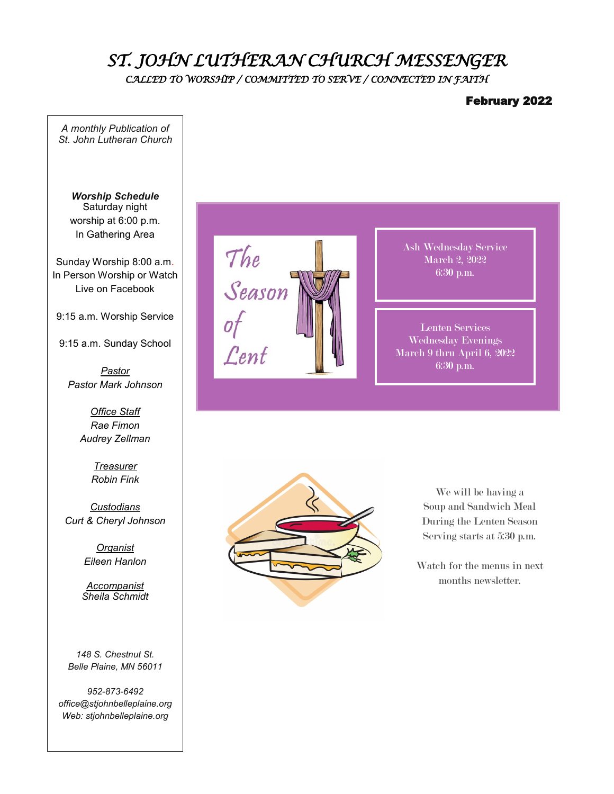# *ST. JOHN LUTHERAN CHURCH MESSENGER CALLED TO WORSHIP / COMMITTED TO SERVE / CONNECTED IN FAITH*

### February 2022

*A monthly Publication of St. John Lutheran Church* 

*Worship Schedule* Saturday night worship at 6:00 p.m. In Gathering Area

Sunday Worship 8:00 a.m. In Person Worship or Watch Live on Facebook

9:15 a.m. Worship Service

9:15 a.m. Sunday School

*Pastor Pastor Mark Johnson*

> *Office Staff Rae Fimon Audrey Zellman*

> > *Treasurer Robin Fink*

*Custodians Curt & Cheryl Johnson*

> *Organist Eileen Hanlon*

*Accompanist Sheila Schmidt*

*148 S. Chestnut St. Belle Plaine, MN 56011*

*952-873-6492 office@stjohnbelleplaine.org Web: stjohnbelleplaine.org*



Ash Wednesday Service March 2, 2022 6:30 p.m.

Lenten Services Wednesday Evenings March 9 thru April 6, 2022 6:30 p.m.



We will be having a Soup and Sandwich Meal During the Lenten Season Serving starts at 5:30 p.m.

Watch for the menus in next months newsletter.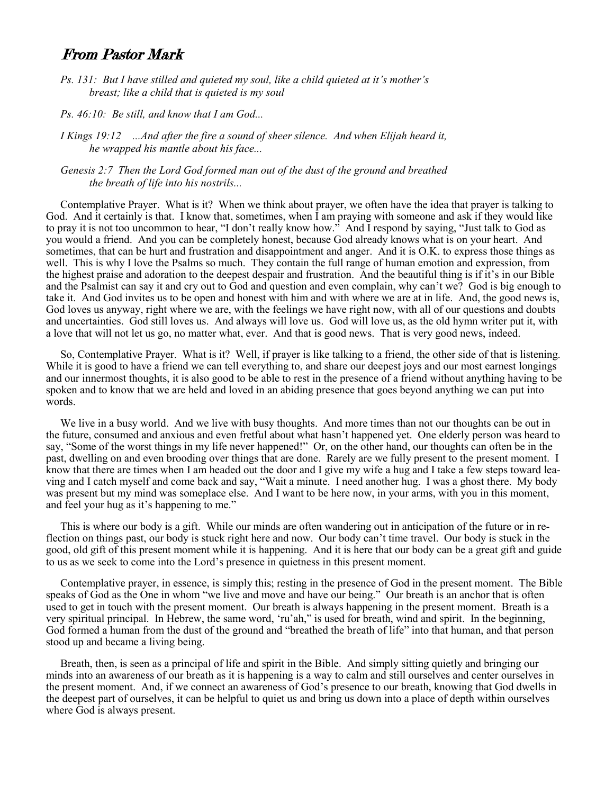## From Pastor Mark

- *Ps. 131: But I have stilled and quieted my soul, like a child quieted at it's mother's breast; like a child that is quieted is my soul*
- *Ps. 46:10: Be still, and know that I am God...*
- *I Kings 19:12 ...And after the fire a sound of sheer silence. And when Elijah heard it, he wrapped his mantle about his face...*
- *Genesis 2:7 Then the Lord God formed man out of the dust of the ground and breathed the breath of life into his nostrils...*

Contemplative Prayer. What is it? When we think about prayer, we often have the idea that prayer is talking to God. And it certainly is that. I know that, sometimes, when I am praying with someone and ask if they would like to pray it is not too uncommon to hear, "I don't really know how." And I respond by saying, "Just talk to God as you would a friend. And you can be completely honest, because God already knows what is on your heart. And sometimes, that can be hurt and frustration and disappointment and anger. And it is O.K. to express those things as well. This is why I love the Psalms so much. They contain the full range of human emotion and expression, from the highest praise and adoration to the deepest despair and frustration. And the beautiful thing is if it's in our Bible and the Psalmist can say it and cry out to God and question and even complain, why can't we? God is big enough to take it. And God invites us to be open and honest with him and with where we are at in life. And, the good news is, God loves us anyway, right where we are, with the feelings we have right now, with all of our questions and doubts and uncertainties. God still loves us. And always will love us. God will love us, as the old hymn writer put it, with a love that will not let us go, no matter what, ever. And that is good news. That is very good news, indeed.

So, Contemplative Prayer. What is it? Well, if prayer is like talking to a friend, the other side of that is listening. While it is good to have a friend we can tell everything to, and share our deepest joys and our most earnest longings and our innermost thoughts, it is also good to be able to rest in the presence of a friend without anything having to be spoken and to know that we are held and loved in an abiding presence that goes beyond anything we can put into words.

We live in a busy world. And we live with busy thoughts. And more times than not our thoughts can be out in the future, consumed and anxious and even fretful about what hasn't happened yet. One elderly person was heard to say, "Some of the worst things in my life never happened!" Or, on the other hand, our thoughts can often be in the past, dwelling on and even brooding over things that are done. Rarely are we fully present to the present moment. I know that there are times when I am headed out the door and I give my wife a hug and I take a few steps toward leaving and I catch myself and come back and say, "Wait a minute. I need another hug. I was a ghost there. My body was present but my mind was someplace else. And I want to be here now, in your arms, with you in this moment, and feel your hug as it's happening to me."

This is where our body is a gift. While our minds are often wandering out in anticipation of the future or in reflection on things past, our body is stuck right here and now. Our body can't time travel. Our body is stuck in the good, old gift of this present moment while it is happening. And it is here that our body can be a great gift and guide to us as we seek to come into the Lord's presence in quietness in this present moment.

Contemplative prayer, in essence, is simply this; resting in the presence of God in the present moment. The Bible speaks of God as the One in whom "we live and move and have our being." Our breath is an anchor that is often used to get in touch with the present moment. Our breath is always happening in the present moment. Breath is a very spiritual principal. In Hebrew, the same word, 'ru'ah," is used for breath, wind and spirit. In the beginning, God formed a human from the dust of the ground and "breathed the breath of life" into that human, and that person stood up and became a living being.

Breath, then, is seen as a principal of life and spirit in the Bible. And simply sitting quietly and bringing our minds into an awareness of our breath as it is happening is a way to calm and still ourselves and center ourselves in the present moment. And, if we connect an awareness of God's presence to our breath, knowing that God dwells in the deepest part of ourselves, it can be helpful to quiet us and bring us down into a place of depth within ourselves where God is always present.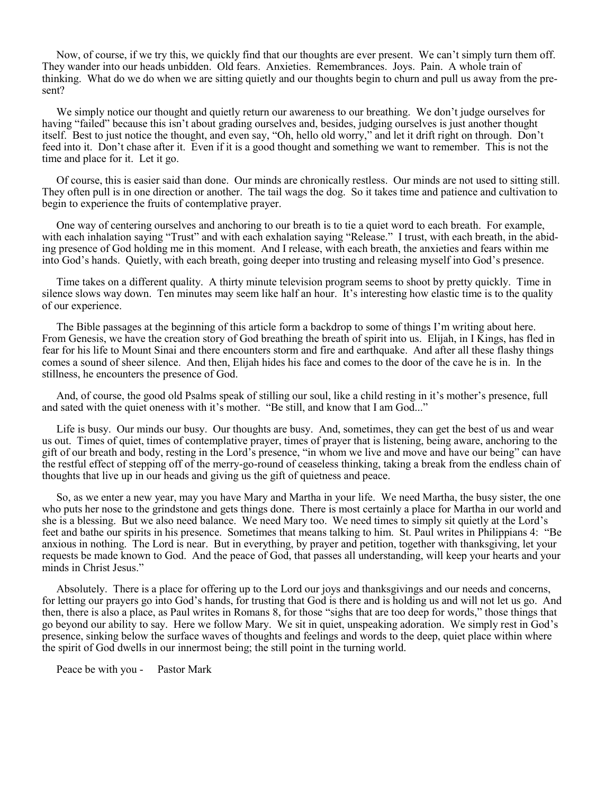Now, of course, if we try this, we quickly find that our thoughts are ever present. We can't simply turn them off. They wander into our heads unbidden. Old fears. Anxieties. Remembrances. Joys. Pain. A whole train of thinking. What do we do when we are sitting quietly and our thoughts begin to churn and pull us away from the present?

We simply notice our thought and quietly return our awareness to our breathing. We don't judge ourselves for having "failed" because this isn't about grading ourselves and, besides, judging ourselves is just another thought itself. Best to just notice the thought, and even say, "Oh, hello old worry," and let it drift right on through. Don't feed into it. Don't chase after it. Even if it is a good thought and something we want to remember. This is not the time and place for it. Let it go.

Of course, this is easier said than done. Our minds are chronically restless. Our minds are not used to sitting still. They often pull is in one direction or another. The tail wags the dog. So it takes time and patience and cultivation to begin to experience the fruits of contemplative prayer.

One way of centering ourselves and anchoring to our breath is to tie a quiet word to each breath. For example, with each inhalation saying "Trust" and with each exhalation saying "Release." I trust, with each breath, in the abiding presence of God holding me in this moment. And I release, with each breath, the anxieties and fears within me into God's hands. Quietly, with each breath, going deeper into trusting and releasing myself into God's presence.

Time takes on a different quality. A thirty minute television program seems to shoot by pretty quickly. Time in silence slows way down. Ten minutes may seem like half an hour. It's interesting how elastic time is to the quality of our experience.

The Bible passages at the beginning of this article form a backdrop to some of things I'm writing about here. From Genesis, we have the creation story of God breathing the breath of spirit into us. Elijah, in I Kings, has fled in fear for his life to Mount Sinai and there encounters storm and fire and earthquake. And after all these flashy things comes a sound of sheer silence. And then, Elijah hides his face and comes to the door of the cave he is in. In the stillness, he encounters the presence of God.

And, of course, the good old Psalms speak of stilling our soul, like a child resting in it's mother's presence, full and sated with the quiet oneness with it's mother. "Be still, and know that I am God..."

Life is busy. Our minds our busy. Our thoughts are busy. And, sometimes, they can get the best of us and wear us out. Times of quiet, times of contemplative prayer, times of prayer that is listening, being aware, anchoring to the gift of our breath and body, resting in the Lord's presence, "in whom we live and move and have our being" can have the restful effect of stepping off of the merry-go-round of ceaseless thinking, taking a break from the endless chain of thoughts that live up in our heads and giving us the gift of quietness and peace.

So, as we enter a new year, may you have Mary and Martha in your life. We need Martha, the busy sister, the one who puts her nose to the grindstone and gets things done. There is most certainly a place for Martha in our world and she is a blessing. But we also need balance. We need Mary too. We need times to simply sit quietly at the Lord's feet and bathe our spirits in his presence. Sometimes that means talking to him. St. Paul writes in Philippians 4: "Be anxious in nothing. The Lord is near. But in everything, by prayer and petition, together with thanksgiving, let your requests be made known to God. And the peace of God, that passes all understanding, will keep your hearts and your minds in Christ Jesus."

Absolutely. There is a place for offering up to the Lord our joys and thanksgivings and our needs and concerns, for letting our prayers go into God's hands, for trusting that God is there and is holding us and will not let us go. And then, there is also a place, as Paul writes in Romans 8, for those "sighs that are too deep for words," those things that go beyond our ability to say. Here we follow Mary. We sit in quiet, unspeaking adoration. We simply rest in God's presence, sinking below the surface waves of thoughts and feelings and words to the deep, quiet place within where the spirit of God dwells in our innermost being; the still point in the turning world.

Peace be with you - Pastor Mark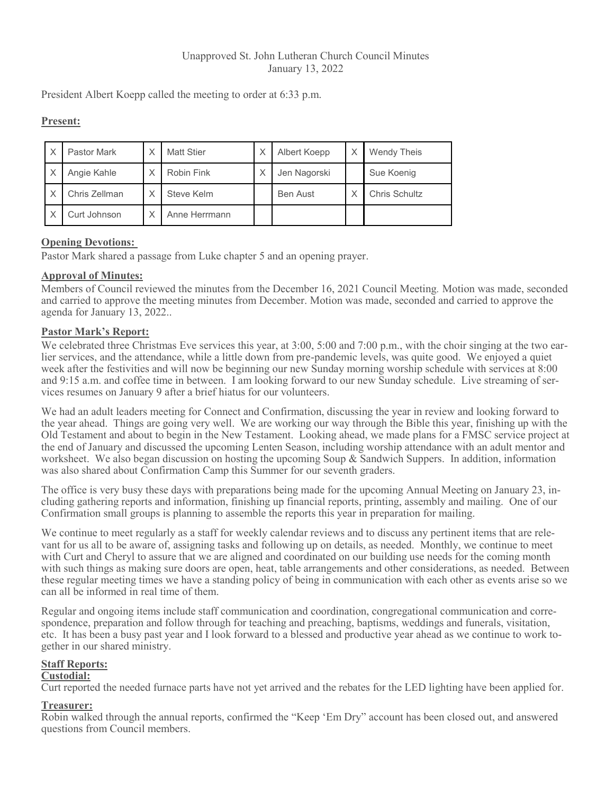### Unapproved St. John Lutheran Church Council Minutes January 13, 2022

President Albert Koepp called the meeting to order at 6:33 p.m.

## **Present:**

| X | <b>Pastor Mark</b> | Χ            | <b>Matt Stier</b> | Χ | Albert Koepp    | <b>Wendy Theis</b> |
|---|--------------------|--------------|-------------------|---|-----------------|--------------------|
| Χ | Angie Kahle        | $\checkmark$ | Robin Fink        | Χ | Jen Nagorski    | Sue Koenig         |
| X | Chris Zellman      |              | Steve Kelm        |   | <b>Ben Aust</b> | Chris Schultz      |
| X | Curt Johnson       | v            | Anne Herrmann     |   |                 |                    |

## **Opening Devotions:**

Pastor Mark shared a passage from Luke chapter 5 and an opening prayer.

## **Approval of Minutes:**

Members of Council reviewed the minutes from the December 16, 2021 Council Meeting*.* Motion was made, seconded and carried to approve the meeting minutes from December. Motion was made, seconded and carried to approve the agenda for January 13, 2022..

## **Pastor Mark's Report:**

We celebrated three Christmas Eve services this year, at 3:00, 5:00 and 7:00 p.m., with the choir singing at the two earlier services, and the attendance, while a little down from pre-pandemic levels, was quite good. We enjoyed a quiet week after the festivities and will now be beginning our new Sunday morning worship schedule with services at 8:00 and 9:15 a.m. and coffee time in between. I am looking forward to our new Sunday schedule. Live streaming of services resumes on January 9 after a brief hiatus for our volunteers.

We had an adult leaders meeting for Connect and Confirmation, discussing the year in review and looking forward to the year ahead. Things are going very well. We are working our way through the Bible this year, finishing up with the Old Testament and about to begin in the New Testament. Looking ahead, we made plans for a FMSC service project at the end of January and discussed the upcoming Lenten Season, including worship attendance with an adult mentor and worksheet. We also began discussion on hosting the upcoming Soup & Sandwich Suppers. In addition, information was also shared about Confirmation Camp this Summer for our seventh graders.

The office is very busy these days with preparations being made for the upcoming Annual Meeting on January 23, including gathering reports and information, finishing up financial reports, printing, assembly and mailing. One of our Confirmation small groups is planning to assemble the reports this year in preparation for mailing.

We continue to meet regularly as a staff for weekly calendar reviews and to discuss any pertinent items that are relevant for us all to be aware of, assigning tasks and following up on details, as needed. Monthly, we continue to meet with Curt and Cheryl to assure that we are aligned and coordinated on our building use needs for the coming month with such things as making sure doors are open, heat, table arrangements and other considerations, as needed. Between these regular meeting times we have a standing policy of being in communication with each other as events arise so we can all be informed in real time of them.

Regular and ongoing items include staff communication and coordination, congregational communication and correspondence, preparation and follow through for teaching and preaching, baptisms, weddings and funerals, visitation, etc. It has been a busy past year and I look forward to a blessed and productive year ahead as we continue to work together in our shared ministry.

## **Staff Reports:**

## **Custodial:**

Curt reported the needed furnace parts have not yet arrived and the rebates for the LED lighting have been applied for.

#### **Treasurer:**

Robin walked through the annual reports, confirmed the "Keep 'Em Dry" account has been closed out, and answered questions from Council members.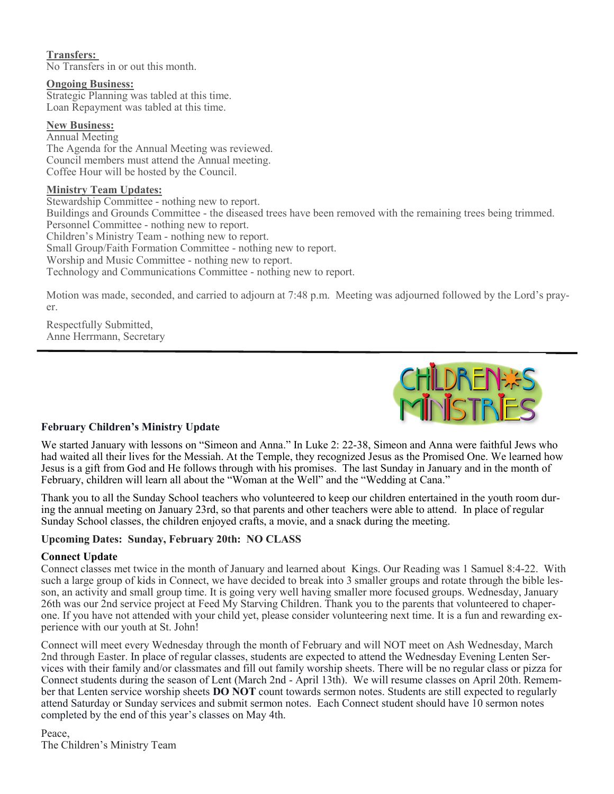## **Transfers:**

No Transfers in or out this month.

#### **Ongoing Business:**

Strategic Planning was tabled at this time. Loan Repayment was tabled at this time.

#### **New Business:**

Annual Meeting The Agenda for the Annual Meeting was reviewed. Council members must attend the Annual meeting. Coffee Hour will be hosted by the Council.

#### **Ministry Team Updates:**

Stewardship Committee - nothing new to report. Buildings and Grounds Committee - the diseased trees have been removed with the remaining trees being trimmed. Personnel Committee - nothing new to report. Children's Ministry Team - nothing new to report. Small Group/Faith Formation Committee - nothing new to report. Worship and Music Committee - nothing new to report. Technology and Communications Committee - nothing new to report.

Motion was made, seconded, and carried to adjourn at 7:48 p.m. Meeting was adjourned followed by the Lord's prayer.

Respectfully Submitted, Anne Herrmann, Secretary



## **February Children's Ministry Update**

We started January with lessons on "Simeon and Anna." In Luke 2: 22-38, Simeon and Anna were faithful Jews who had waited all their lives for the Messiah. At the Temple, they recognized Jesus as the Promised One. We learned how Jesus is a gift from God and He follows through with his promises. The last Sunday in January and in the month of February, children will learn all about the "Woman at the Well" and the "Wedding at Cana."

Thank you to all the Sunday School teachers who volunteered to keep our children entertained in the youth room during the annual meeting on January 23rd, so that parents and other teachers were able to attend. In place of regular Sunday School classes, the children enjoyed crafts, a movie, and a snack during the meeting.

#### **Upcoming Dates: Sunday, February 20th: NO CLASS**

#### **Connect Update**

Connect classes met twice in the month of January and learned about Kings. Our Reading was 1 Samuel 8:4-22. With such a large group of kids in Connect, we have decided to break into 3 smaller groups and rotate through the bible lesson, an activity and small group time. It is going very well having smaller more focused groups. Wednesday, January 26th was our 2nd service project at Feed My Starving Children. Thank you to the parents that volunteered to chaperone. If you have not attended with your child yet, please consider volunteering next time. It is a fun and rewarding experience with our youth at St. John!

Connect will meet every Wednesday through the month of February and will NOT meet on Ash Wednesday, March 2nd through Easter. In place of regular classes, students are expected to attend the Wednesday Evening Lenten Services with their family and/or classmates and fill out family worship sheets. There will be no regular class or pizza for Connect students during the season of Lent (March 2nd - April 13th). We will resume classes on April 20th. Remember that Lenten service worship sheets **DO NOT** count towards sermon notes. Students are still expected to regularly attend Saturday or Sunday services and submit sermon notes. Each Connect student should have 10 sermon notes completed by the end of this year's classes on May 4th.

Peace, The Children's Ministry Team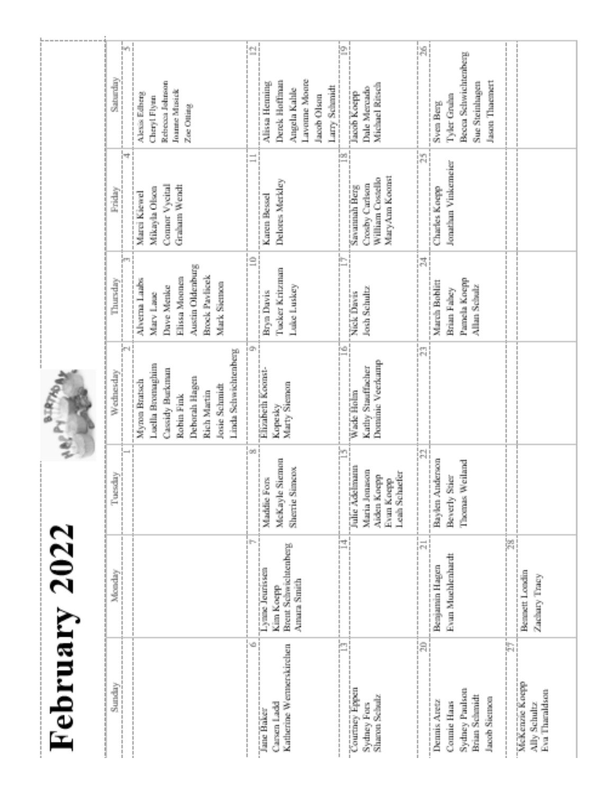|               | Saturday<br>Friday | Beh<br>持 | Related at Johnson<br><b>Joanne Minsick</b><br>Alexis Edberg<br>Cheryl Flyen<br>Zoe Otting<br>Connor Vycini<br>Graham Wendt<br>Mikayla Olson<br>Marci Kiewel |     | Lavoune Moore<br>Derek Hoffman<br>Alissa Henning<br>Larry Schmidt<br>Angela Kahle<br>Jacob Olson<br>Delores Merkley<br>Karen Bessel | jaa ji   | Michael Ritsch<br>Dale Mercado<br>Jacob Koepp<br>MaryAm Komst<br>William Costello<br>Crosby Carlson<br><b>Savannah Berg</b> | is:I<br>圖                  | Becca Schwichtenberg<br>Jason Thompet<br>Sue Steinhagen<br>Tyler Gruhn<br><b>Sven Berg</b><br>Jonathan Vinkemeier<br>Charles Koepp          |
|---------------|--------------------|----------|--------------------------------------------------------------------------------------------------------------------------------------------------------------|-----|-------------------------------------------------------------------------------------------------------------------------------------|----------|-----------------------------------------------------------------------------------------------------------------------------|----------------------------|---------------------------------------------------------------------------------------------------------------------------------------------|
|               | Thursday           |          | Austin Oldenburg<br><b>Brook Paylicek</b><br>Filissa Moonen<br>Aliverna Laabs<br>Mark Sterage<br>Dave Menke<br>Mary Law                                      | Ξ   | Tucker Kritzman<br>Luke Luskey<br>Bryn Davis                                                                                        | TF-      | Nick Davis<br>Josh Schultz                                                                                                  | 圖                          | Pamela Koepp<br>March Boblitt<br>Allan Schulz<br>Brian Falsey                                                                               |
| Ê             | Wednesday          | jтi      | Linda Schwichtenberg<br>Luella Bromaghim<br>Cassidy Burkman<br>Deborah Hagen<br>Myna Bratsch<br>Josie Schmidt<br>Rich Martin<br>Robin Fink                   | ä.  | Elizabeth Komst-<br>Marty Siemon<br>Kopesky                                                                                         | ie)<br>! | Dominic Vectoring<br>Kathy Stauffasher<br>Wade Holm                                                                         | i gru<br>1974              |                                                                                                                                             |
|               | $\frac{1}{2}$<br>ĕ |          |                                                                                                                                                              | 66  | Siemon<br>imperos.<br>Maddie Fors<br>MeKayle<br>Sherrie S                                                                           | þ        | Falle Azkelmann<br>Maria Jonasco<br>Leals Schaefer<br>Aiden Koepp<br>Evan Koepp                                             | hi.<br>j<br>j              | Baylen Anderson<br>Weiland<br>Beverly Stier<br>Thomas                                                                                       |
|               | Monday             |          |                                                                                                                                                              | UT- | <b>Brent Schwichtenberg</b><br>Lymne Jeunssen<br>Amara Smith<br>Kim Koepp                                                           | ist<br>I |                                                                                                                             | i mi                       | 闟<br>Evan Muchlenhardt<br>Benjamin Hagen<br>Beauett Londin<br>Zachary Tracy                                                                 |
| February 2022 | Sunday<br>l        |          |                                                                                                                                                              | ø   | Katherine Wernserskirchen<br>Carsen Ladd<br>Jane Baker                                                                              | ier<br>F | Country Eppen<br>Sharoo Schutz<br>Sydney Fors                                                                               | $\left[\frac{m}{m}\right]$ | ħ<br>McKenzie Koep<br>Sydney Paulszo<br>Eva Thandson<br><b>Brian Schmidt</b><br>Jacob Siemes<br>Dennis Aretz<br>Compie Haas<br>Ally Schultz |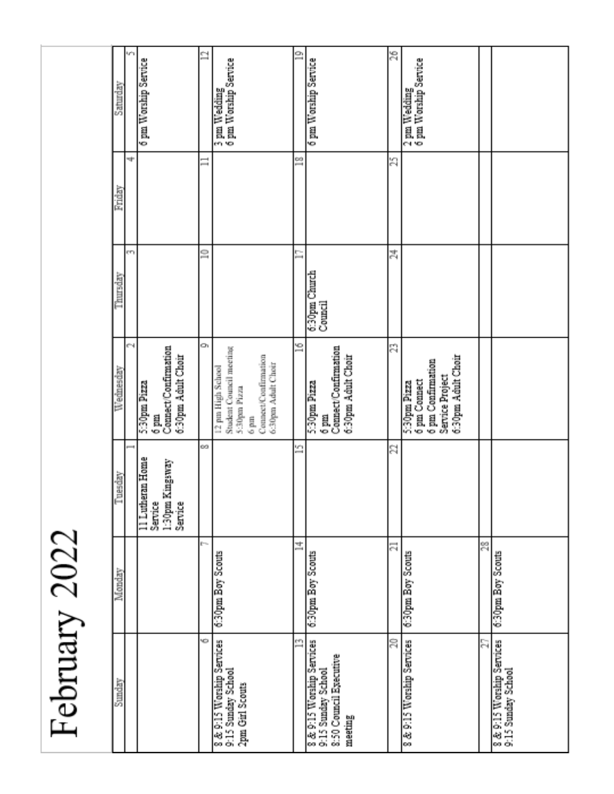| $\zeta$     |
|-------------|
|             |
| ¢           |
| í<br>Į<br>ī |
| ţ           |
|             |

| Sunday                                                                               | Monday                  | uesday<br>ē                                                      | Wednesday                                                                                                                           | Thursday                 | Friday | Saturday                             |
|--------------------------------------------------------------------------------------|-------------------------|------------------------------------------------------------------|-------------------------------------------------------------------------------------------------------------------------------------|--------------------------|--------|--------------------------------------|
|                                                                                      |                         | -                                                                | cЧ                                                                                                                                  | em                       | ÷      | ١'n                                  |
|                                                                                      |                         | 11 Lutheran Home<br>1:30pm Kingsway<br><b>Service</b><br>Service | Connect/Confirmation<br>6:30pm Adult Choir<br>5:30pm Pizza<br>$_{\rm 6~\mu m}$                                                      |                          |        | 6 pm Worship Service                 |
| κò                                                                                   | p.                      | 69.                                                              | Œ,                                                                                                                                  | ្ទ                       | ∃      | 9                                    |
| 8 & 9:15 Worship Services<br>9:15 Smalay School<br>2pm Girl Scouts                   | 6:30pm Boy Scouts       |                                                                  | Student Council meeting<br>Connect/Confirmation<br>6:30pm Adult Choir<br>Techos distribution<br>5.30pm Pizza<br>$_{6\,\mathrm{fm}}$ |                          |        | 3 pm Wedding<br>6 pm Worship Service |
| n                                                                                    | 古                       | 雪                                                                | ≌                                                                                                                                   | ∍                        | ≌      | $\mathbb{Z}$                         |
| 8 & 9:15 Worship Services<br>9:15 Sunday School<br>8:50 Council Executive<br>meeting | 6:30pm Boy Scouts       |                                                                  | Connect/Confirmation<br>6:30pm Adult Clour<br>5:30pm Pizza<br>$6\ \mathrm{mm}$                                                      | 6:30pm Church<br>Council |        | 6 pm Worship Service                 |
| S                                                                                    | $\overline{\mathbb{Z}}$ | 얿                                                                | 중                                                                                                                                   | 表                        | 罰      | 曾                                    |
| 8 & 9:15 Worship Services                                                            | 630pm Boy Scouts        |                                                                  | 6:30pm Adult Choir<br>6 pm Confirmation<br><b>Service Project</b><br>6 pm Connect<br>5:30pm Pizza                                   |                          |        | 2 pm Wedding<br>6 pm Worship Service |
| Р,                                                                                   | 8                       |                                                                  |                                                                                                                                     |                          |        |                                      |
| 9 & 9:15 Worship Services<br>9:15 Smidsy School                                      | 6:30pm Boy Scouts       |                                                                  |                                                                                                                                     |                          |        |                                      |